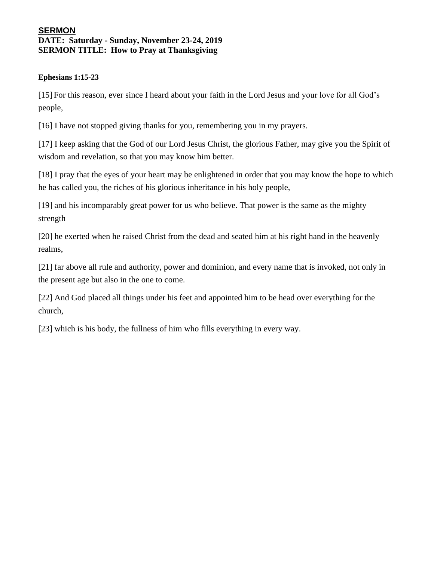## **SERMON DATE: Saturday - Sunday, November 23-24, 2019 SERMON TITLE: How to Pray at Thanksgiving**

## **Ephesians 1:15-23**

[15] For this reason, ever since I heard about your faith in the Lord Jesus and your love for all God's people,

[16] I have not stopped giving thanks for you, remembering you in my prayers.

[17] I keep asking that the God of our Lord Jesus Christ, the glorious Father, may give you the Spirit of wisdom and revelation, so that you may know him better.

[18] I pray that the eyes of your heart may be enlightened in order that you may know the hope to which he has called you, the riches of his glorious inheritance in his holy people,

[19] and his incomparably great power for us who believe. That power is the same as the mighty strength

[20] he exerted when he raised Christ from the dead and seated him at his right hand in the heavenly realms,

[21] far above all rule and authority, power and dominion, and every name that is invoked, not only in the present age but also in the one to come.

[22] And God placed all things under his feet and appointed him to be head over everything for the church,

[23] which is his body, the fullness of him who fills everything in every way.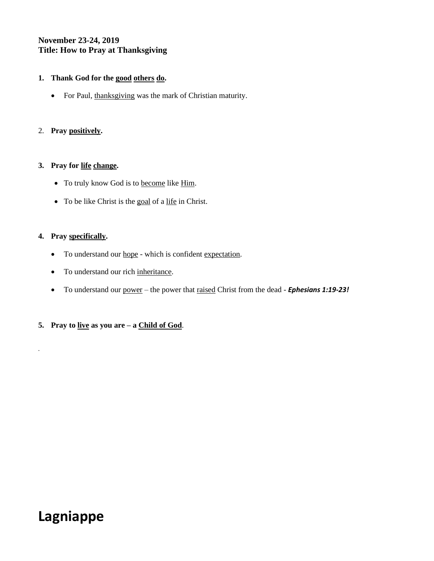## **November 23-24, 2019 Title: How to Pray at Thanksgiving**

#### **1. Thank God for the good others do.**

• For Paul, thanksgiving was the mark of Christian maturity.

## 2. **Pray positively.**

#### **3. Pray for life change.**

- To truly know God is to become like Him.
- To be like Christ is the goal of a life in Christ.

#### **4. Pray specifically.**

*.*

- To understand our <u>hope</u> which is confident expectation.
- To understand our rich inheritance.
- To understand our power the power that raised Christ from the dead *Ephesians 1:19-23!*
- **5. Pray to live as you are – a Child of God**.

# **Lagniappe**